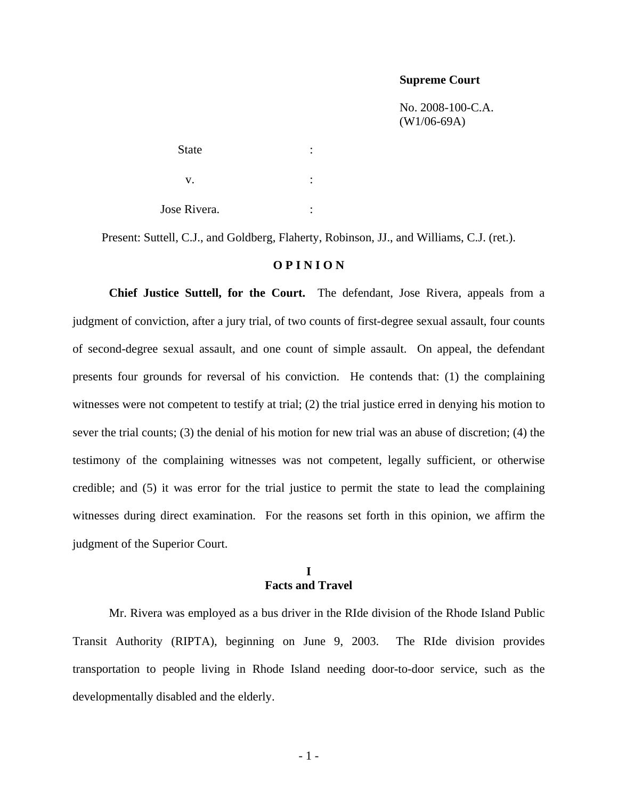#### **Supreme Court**

 No. 2008-100-C.A. (W1/06-69A)

State : the state of the state in the state in the state in the state in the state in the state in the state in the state in the state in the state in the state in the state in the state in the state in the state in the st  $\mathbf{v}$ .  $\qquad \qquad$  : Jose Rivera. :

Present: Suttell, C.J., and Goldberg, Flaherty, Robinson, JJ., and Williams, C.J. (ret.).

#### **O P I N I O N**

**Chief Justice Suttell, for the Court.** The defendant, Jose Rivera, appeals from a judgment of conviction, after a jury trial, of two counts of first-degree sexual assault, four counts of second-degree sexual assault, and one count of simple assault. On appeal, the defendant presents four grounds for reversal of his conviction. He contends that: (1) the complaining witnesses were not competent to testify at trial; (2) the trial justice erred in denying his motion to sever the trial counts; (3) the denial of his motion for new trial was an abuse of discretion; (4) the testimony of the complaining witnesses was not competent, legally sufficient, or otherwise credible; and (5) it was error for the trial justice to permit the state to lead the complaining witnesses during direct examination. For the reasons set forth in this opinion, we affirm the judgment of the Superior Court.

#### **I Facts and Travel**

Mr. Rivera was employed as a bus driver in the RIde division of the Rhode Island Public Transit Authority (RIPTA), beginning on June 9, 2003. The RIde division provides transportation to people living in Rhode Island needing door-to-door service, such as the developmentally disabled and the elderly.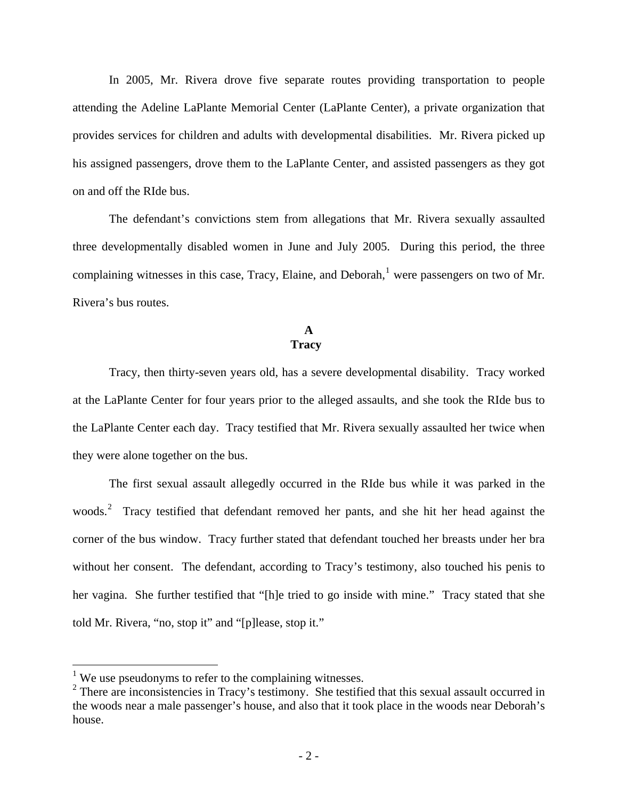In 2005, Mr. Rivera drove five separate routes providing transportation to people attending the Adeline LaPlante Memorial Center (LaPlante Center), a private organization that provides services for children and adults with developmental disabilities. Mr. Rivera picked up his assigned passengers, drove them to the LaPlante Center, and assisted passengers as they got on and off the RIde bus.

The defendant's convictions stem from allegations that Mr. Rivera sexually assaulted three developmentally disabled women in June and July 2005. During this period, the three complaining witnesses in this case, Tracy, Elaine, and Deborah, <sup>[1](#page-1-0)</sup> were passengers on two of Mr. Rivera's bus routes.

#### **A Tracy**

Tracy, then thirty-seven years old, has a severe developmental disability. Tracy worked at the LaPlante Center for four years prior to the alleged assaults, and she took the RIde bus to the LaPlante Center each day. Tracy testified that Mr. Rivera sexually assaulted her twice when they were alone together on the bus.

The first sexual assault allegedly occurred in the RIde bus while it was parked in the woods.<sup>[2](#page-1-1)</sup> Tracy testified that defendant removed her pants, and she hit her head against the corner of the bus window. Tracy further stated that defendant touched her breasts under her bra without her consent. The defendant, according to Tracy's testimony, also touched his penis to her vagina.She further testified that "[h]e tried to go inside with mine." Tracy stated that she told Mr. Rivera, "no, stop it" and "[p]lease, stop it."

 $\overline{a}$ 

<span id="page-1-0"></span><sup>&</sup>lt;sup>1</sup> We use pseudonyms to refer to the complaining witnesses.

<span id="page-1-1"></span><sup>&</sup>lt;sup>2</sup> There are inconsistencies in Tracy's testimony. She testified that this sexual assault occurred in the woods near a male passenger's house, and also that it took place in the woods near Deborah's house.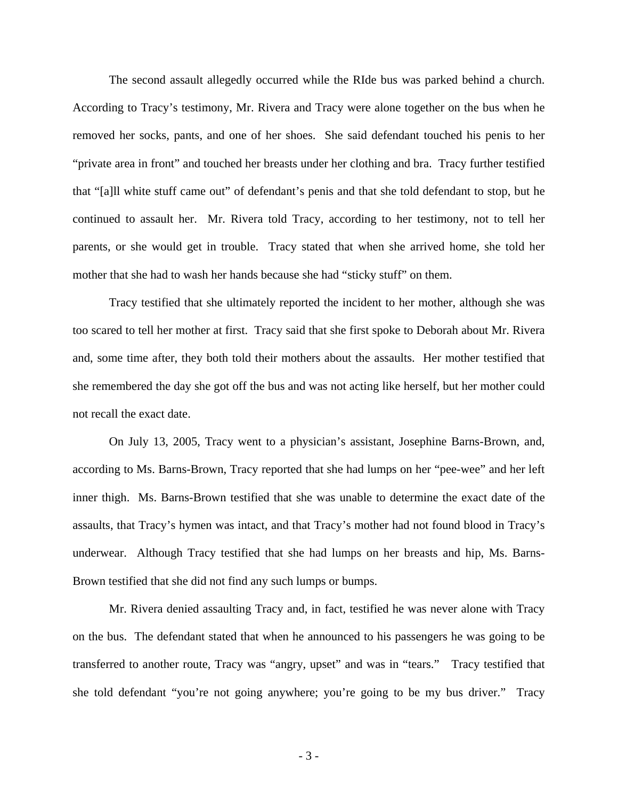The second assault allegedly occurred while the RIde bus was parked behind a church. According to Tracy's testimony, Mr. Rivera and Tracy were alone together on the bus when he removed her socks, pants, and one of her shoes. She said defendant touched his penis to her "private area in front" and touched her breasts under her clothing and bra. Tracy further testified that "[a]ll white stuff came out" of defendant's penis and that she told defendant to stop, but he continued to assault her. Mr. Rivera told Tracy, according to her testimony, not to tell her parents, or she would get in trouble. Tracy stated that when she arrived home, she told her mother that she had to wash her hands because she had "sticky stuff" on them.

Tracy testified that she ultimately reported the incident to her mother, although she was too scared to tell her mother at first. Tracy said that she first spoke to Deborah about Mr. Rivera and, some time after, they both told their mothers about the assaults. Her mother testified that she remembered the day she got off the bus and was not acting like herself, but her mother could not recall the exact date.

On July 13, 2005, Tracy went to a physician's assistant, Josephine Barns-Brown, and, according to Ms. Barns-Brown, Tracy reported that she had lumps on her "pee-wee" and her left inner thigh. Ms. Barns-Brown testified that she was unable to determine the exact date of the assaults, that Tracy's hymen was intact, and that Tracy's mother had not found blood in Tracy's underwear. Although Tracy testified that she had lumps on her breasts and hip, Ms. Barns-Brown testified that she did not find any such lumps or bumps.

Mr. Rivera denied assaulting Tracy and, in fact, testified he was never alone with Tracy on the bus. The defendant stated that when he announced to his passengers he was going to be transferred to another route, Tracy was "angry, upset" and was in "tears." Tracy testified that she told defendant "you're not going anywhere; you're going to be my bus driver." Tracy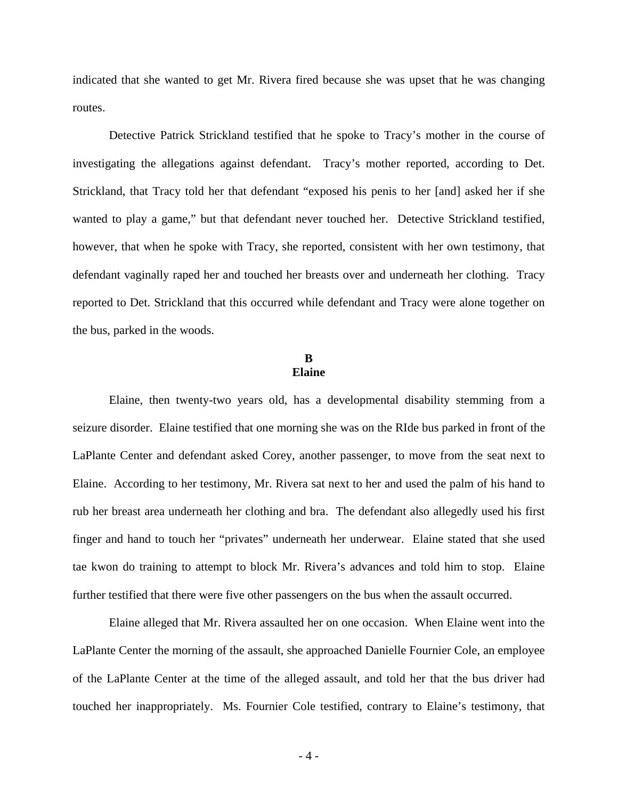indicated that she wanted to get Mr. Rivera fired because she was upset that he was changing routes.

Detective Patrick Strickland testified that he spoke to Tracy's mother in the course of investigating the allegations against defendant. Tracy's mother reported, according to Det. Strickland, that Tracy told her that defendant "exposed his penis to her [and] asked her if she wanted to play a game," but that defendant never touched her. Detective Strickland testified, however, that when he spoke with Tracy, she reported, consistent with her own testimony, that defendant vaginally raped her and touched her breasts over and underneath her clothing. Tracy reported to Det. Strickland that this occurred while defendant and Tracy were alone together on the bus, parked in the woods.

## **B Elaine**

Elaine, then twenty-two years old, has a developmental disability stemming from a seizure disorder. Elaine testified that one morning she was on the RIde bus parked in front of the LaPlante Center and defendant asked Corey, another passenger, to move from the seat next to Elaine. According to her testimony, Mr. Rivera sat next to her and used the palm of his hand to rub her breast area underneath her clothing and bra. The defendant also allegedly used his first finger and hand to touch her "privates" underneath her underwear. Elaine stated that she used tae kwon do training to attempt to block Mr. Rivera's advances and told him to stop. Elaine further testified that there were five other passengers on the bus when the assault occurred.

Elaine alleged that Mr. Rivera assaulted her on one occasion. When Elaine went into the LaPlante Center the morning of the assault, she approached Danielle Fournier Cole, an employee of the LaPlante Center at the time of the alleged assault, and told her that the bus driver had touched her inappropriately. Ms. Fournier Cole testified, contrary to Elaine's testimony, that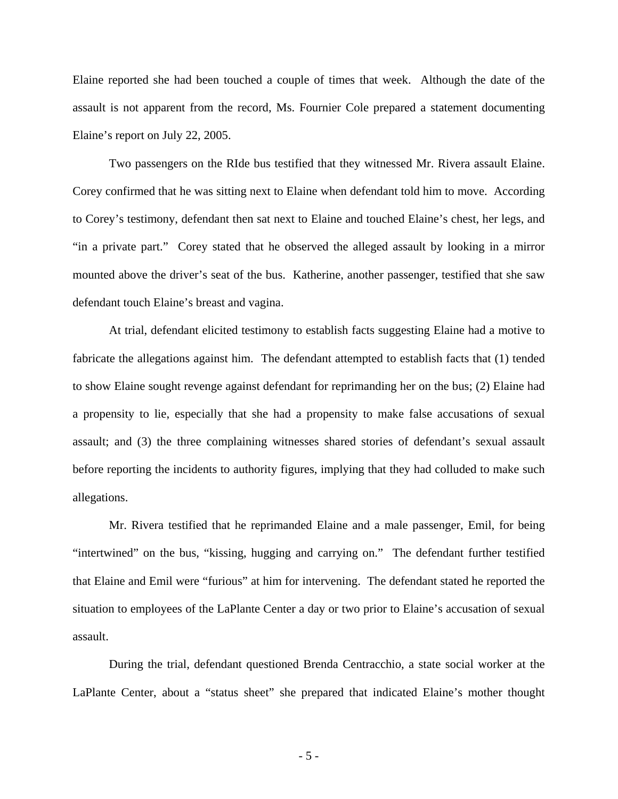Elaine reported she had been touched a couple of times that week.Although the date of the assault is not apparent from the record, Ms. Fournier Cole prepared a statement documenting Elaine's report on July 22, 2005.

Two passengers on the RIde bus testified that they witnessed Mr. Rivera assault Elaine. Corey confirmed that he was sitting next to Elaine when defendant told him to move. According to Corey's testimony, defendant then sat next to Elaine and touched Elaine's chest, her legs, and "in a private part."Corey stated that he observed the alleged assault by looking in a mirror mounted above the driver's seat of the bus. Katherine, another passenger, testified that she saw defendant touch Elaine's breast and vagina.

At trial, defendant elicited testimony to establish facts suggesting Elaine had a motive to fabricate the allegations against him. The defendant attempted to establish facts that (1) tended to show Elaine sought revenge against defendant for reprimanding her on the bus; (2) Elaine had a propensity to lie, especially that she had a propensity to make false accusations of sexual assault; and (3) the three complaining witnesses shared stories of defendant's sexual assault before reporting the incidents to authority figures, implying that they had colluded to make such allegations.

Mr. Rivera testified that he reprimanded Elaine and a male passenger, Emil, for being "intertwined" on the bus, "kissing, hugging and carrying on." The defendant further testified that Elaine and Emil were "furious" at him for intervening. The defendant stated he reported the situation to employees of the LaPlante Center a day or two prior to Elaine's accusation of sexual assault.

During the trial, defendant questioned Brenda Centracchio, a state social worker at the LaPlante Center, about a "status sheet" she prepared that indicated Elaine's mother thought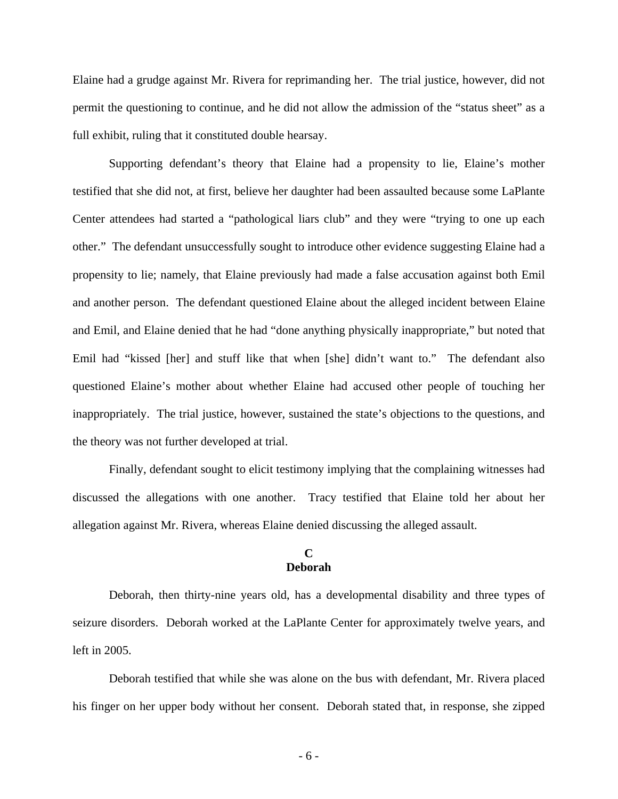Elaine had a grudge against Mr. Rivera for reprimanding her. The trial justice, however, did not permit the questioning to continue, and he did not allow the admission of the "status sheet" as a full exhibit, ruling that it constituted double hearsay.

Supporting defendant's theory that Elaine had a propensity to lie, Elaine's mother testified that she did not, at first, believe her daughter had been assaulted because some LaPlante Center attendees had started a "pathological liars club" and they were "trying to one up each other." The defendant unsuccessfully sought to introduce other evidence suggesting Elaine had a propensity to lie; namely, that Elaine previously had made a false accusation against both Emil and another person. The defendant questioned Elaine about the alleged incident between Elaine and Emil, and Elaine denied that he had "done anything physically inappropriate," but noted that Emil had "kissed [her] and stuff like that when [she] didn't want to." The defendant also questioned Elaine's mother about whether Elaine had accused other people of touching her inappropriately. The trial justice, however, sustained the state's objections to the questions, and the theory was not further developed at trial.

Finally, defendant sought to elicit testimony implying that the complaining witnesses had discussed the allegations with one another. Tracy testified that Elaine told her about her allegation against Mr. Rivera, whereas Elaine denied discussing the alleged assault.

## **C Deborah**

Deborah, then thirty-nine years old, has a developmental disability and three types of seizure disorders. Deborah worked at the LaPlante Center for approximately twelve years, and left in 2005.

 Deborah testified that while she was alone on the bus with defendant, Mr. Rivera placed his finger on her upper body without her consent. Deborah stated that, in response, she zipped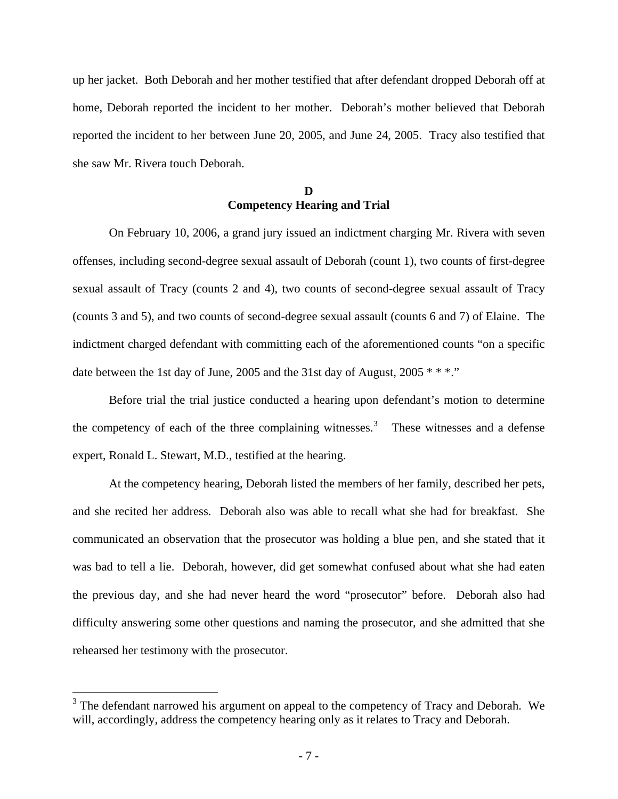up her jacket. Both Deborah and her mother testified that after defendant dropped Deborah off at home, Deborah reported the incident to her mother. Deborah's mother believed that Deborah reported the incident to her between June 20, 2005, and June 24, 2005. Tracy also testified that she saw Mr. Rivera touch Deborah.

## **D Competency Hearing and Trial**

On February 10, 2006, a grand jury issued an indictment charging Mr. Rivera with seven offenses, including second-degree sexual assault of Deborah (count 1), two counts of first-degree sexual assault of Tracy (counts 2 and 4), two counts of second-degree sexual assault of Tracy (counts 3 and 5), and two counts of second-degree sexual assault (counts 6 and 7) of Elaine. The indictment charged defendant with committing each of the aforementioned counts "on a specific date between the 1st day of June, 2005 and the 31st day of August,  $2005$  \* \* \*."

Before trial the trial justice conducted a hearing upon defendant's motion to determine the competency of each of the three complaining witnesses.<sup>[3](#page-6-0)</sup> These witnesses and a defense expert, Ronald L. Stewart, M.D., testified at the hearing.

At the competency hearing, Deborah listed the members of her family, described her pets, and she recited her address. Deborah also was able to recall what she had for breakfast. She communicated an observation that the prosecutor was holding a blue pen, and she stated that it was bad to tell a lie. Deborah, however, did get somewhat confused about what she had eaten the previous day, and she had never heard the word "prosecutor" before. Deborah also had difficulty answering some other questions and naming the prosecutor, and she admitted that she rehearsed her testimony with the prosecutor.

 $\overline{a}$ 

<span id="page-6-0"></span> $3$  The defendant narrowed his argument on appeal to the competency of Tracy and Deborah. We will, accordingly, address the competency hearing only as it relates to Tracy and Deborah.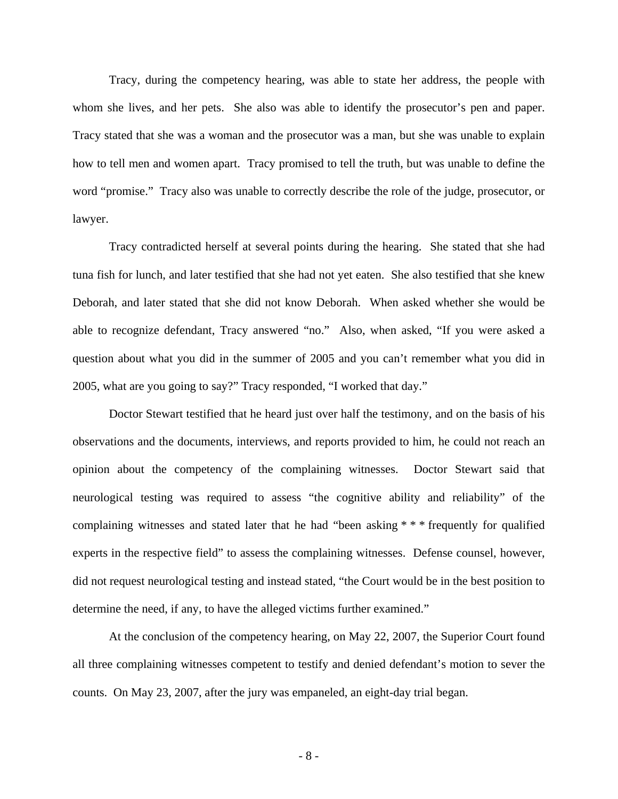Tracy, during the competency hearing, was able to state her address, the people with whom she lives, and her pets. She also was able to identify the prosecutor's pen and paper. Tracy stated that she was a woman and the prosecutor was a man, but she was unable to explain how to tell men and women apart. Tracy promised to tell the truth, but was unable to define the word "promise." Tracy also was unable to correctly describe the role of the judge, prosecutor, or lawyer.

Tracy contradicted herself at several points during the hearing. She stated that she had tuna fish for lunch, and later testified that she had not yet eaten. She also testified that she knew Deborah, and later stated that she did not know Deborah. When asked whether she would be able to recognize defendant, Tracy answered "no." Also, when asked, "If you were asked a question about what you did in the summer of 2005 and you can't remember what you did in 2005, what are you going to say?" Tracy responded, "I worked that day."

Doctor Stewart testified that he heard just over half the testimony, and on the basis of his observations and the documents, interviews, and reports provided to him, he could not reach an opinion about the competency of the complaining witnesses. Doctor Stewart said that neurological testing was required to assess "the cognitive ability and reliability" of the complaining witnesses and stated later that he had "been asking \* \* \* frequently for qualified experts in the respective field" to assess the complaining witnesses. Defense counsel, however, did not request neurological testing and instead stated, "the Court would be in the best position to determine the need, if any, to have the alleged victims further examined."

At the conclusion of the competency hearing, on May 22, 2007, the Superior Court found all three complaining witnesses competent to testify and denied defendant's motion to sever the counts. On May 23, 2007, after the jury was empaneled, an eight-day trial began.

- 8 -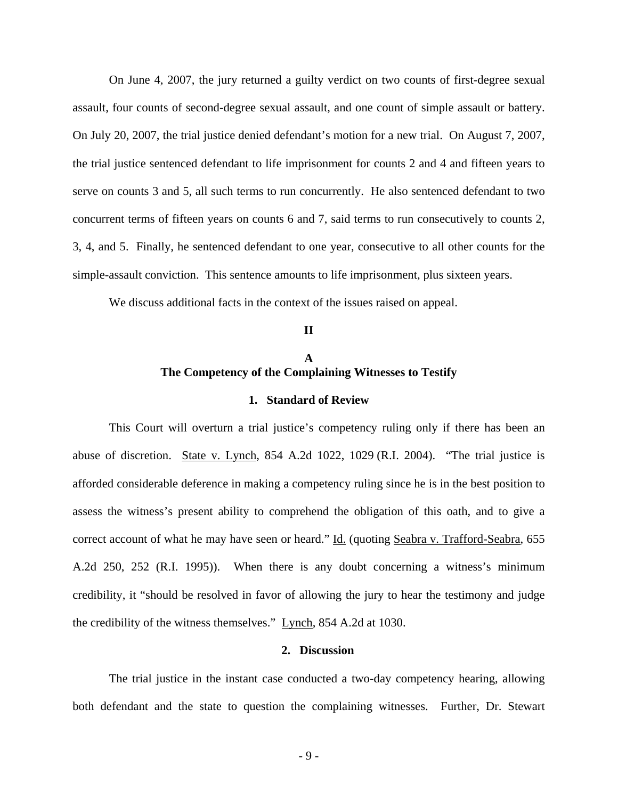On June 4, 2007, the jury returned a guilty verdict on two counts of first-degree sexual assault, four counts of second-degree sexual assault, and one count of simple assault or battery. On July 20, 2007, the trial justice denied defendant's motion for a new trial. On August 7, 2007, the trial justice sentenced defendant to life imprisonment for counts 2 and 4 and fifteen years to serve on counts 3 and 5, all such terms to run concurrently. He also sentenced defendant to two concurrent terms of fifteen years on counts 6 and 7, said terms to run consecutively to counts 2, 3, 4, and 5. Finally, he sentenced defendant to one year, consecutive to all other counts for the simple-assault conviction. This sentence amounts to life imprisonment, plus sixteen years.

We discuss additional facts in the context of the issues raised on appeal.

# **A The Competency of the Complaining Witnesses to Testify**

**II**

#### **1. Standard of Review**

This Court will overturn a trial justice's competency ruling only if there has been an abuse of discretion. State v. Lynch, 854 A.2d 1022, 1029 (R.I. 2004). "The trial justice is afforded considerable deference in making a competency ruling since he is in the best position to assess the witness's present ability to comprehend the obligation of this oath, and to give a correct account of what he may have seen or heard." Id. (quoting Seabra v. Trafford-Seabra, 655 A.2d 250, 252 (R.I. 1995)). When there is any doubt concerning a witness's minimum credibility, it "should be resolved in favor of allowing the jury to hear the testimony and judge the credibility of the witness themselves." Lynch, 854 A.2d at 1030.

## **2. Discussion**

The trial justice in the instant case conducted a two-day competency hearing, allowing both defendant and the state to question the complaining witnesses. Further, Dr. Stewart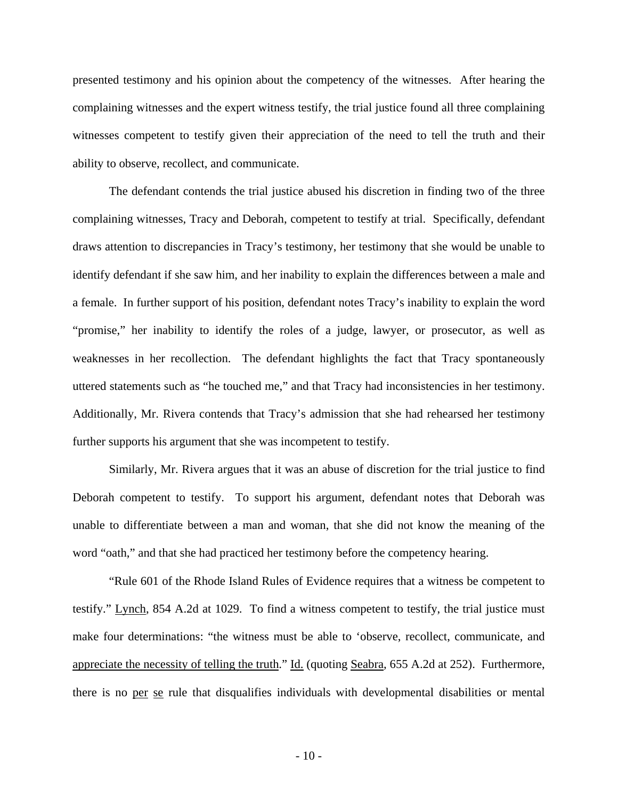presented testimony and his opinion about the competency of the witnesses. After hearing the complaining witnesses and the expert witness testify, the trial justice found all three complaining witnesses competent to testify given their appreciation of the need to tell the truth and their ability to observe, recollect, and communicate.

The defendant contends the trial justice abused his discretion in finding two of the three complaining witnesses, Tracy and Deborah, competent to testify at trial. Specifically, defendant draws attention to discrepancies in Tracy's testimony, her testimony that she would be unable to identify defendant if she saw him, and her inability to explain the differences between a male and a female. In further support of his position, defendant notes Tracy's inability to explain the word "promise," her inability to identify the roles of a judge, lawyer, or prosecutor, as well as weaknesses in her recollection. The defendant highlights the fact that Tracy spontaneously uttered statements such as "he touched me," and that Tracy had inconsistencies in her testimony. Additionally, Mr. Rivera contends that Tracy's admission that she had rehearsed her testimony further supports his argument that she was incompetent to testify.

Similarly, Mr. Rivera argues that it was an abuse of discretion for the trial justice to find Deborah competent to testify. To support his argument, defendant notes that Deborah was unable to differentiate between a man and woman, that she did not know the meaning of the word "oath," and that she had practiced her testimony before the competency hearing.

"Rule 601 of the Rhode Island Rules of Evidence requires that a witness be competent to testify." Lynch, 854 A.2d at 1029. To find a witness competent to testify, the trial justice must make four determinations: "the witness must be able to 'observe, recollect, communicate, and appreciate the necessity of telling the truth." Id. (quoting Seabra, 655 A.2d at 252). Furthermore, there is no per se rule that disqualifies individuals with developmental disabilities or mental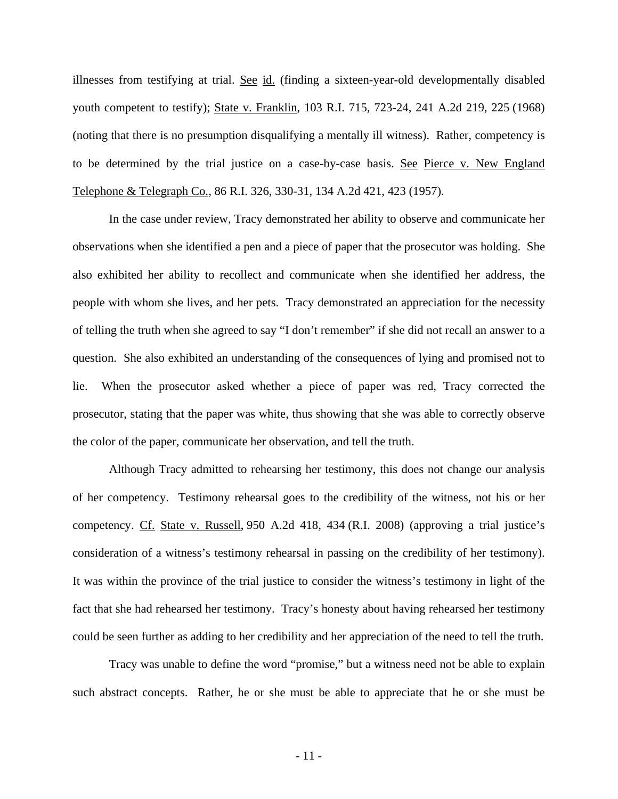illnesses from testifying at trial. See id. (finding a sixteen-year-old developmentally disabled youth competent to testify); State v. Franklin, 103 R.I. 715, 723-24, 241 A.2d 219, 225 (1968) (noting that there is no presumption disqualifying a mentally ill witness). Rather, competency is to be determined by the trial justice on a case-by-case basis. See Pierce v. New England Telephone & Telegraph Co., 86 R.I. 326, 330-31, 134 A.2d 421, 423 (1957).

In the case under review, Tracy demonstrated her ability to observe and communicate her observations when she identified a pen and a piece of paper that the prosecutor was holding. She also exhibited her ability to recollect and communicate when she identified her address, the people with whom she lives, and her pets. Tracy demonstrated an appreciation for the necessity of telling the truth when she agreed to say "I don't remember" if she did not recall an answer to a question. She also exhibited an understanding of the consequences of lying and promised not to lie. When the prosecutor asked whether a piece of paper was red, Tracy corrected the prosecutor, stating that the paper was white, thus showing that she was able to correctly observe the color of the paper, communicate her observation, and tell the truth.

Although Tracy admitted to rehearsing her testimony, this does not change our analysis of her competency. Testimony rehearsal goes to the credibility of the witness, not his or her competency. Cf. State v. Russell, 950 A.2d 418, 434 (R.I. 2008) (approving a trial justice's consideration of a witness's testimony rehearsal in passing on the credibility of her testimony). It was within the province of the trial justice to consider the witness's testimony in light of the fact that she had rehearsed her testimony. Tracy's honesty about having rehearsed her testimony could be seen further as adding to her credibility and her appreciation of the need to tell the truth.

Tracy was unable to define the word "promise," but a witness need not be able to explain such abstract concepts. Rather, he or she must be able to appreciate that he or she must be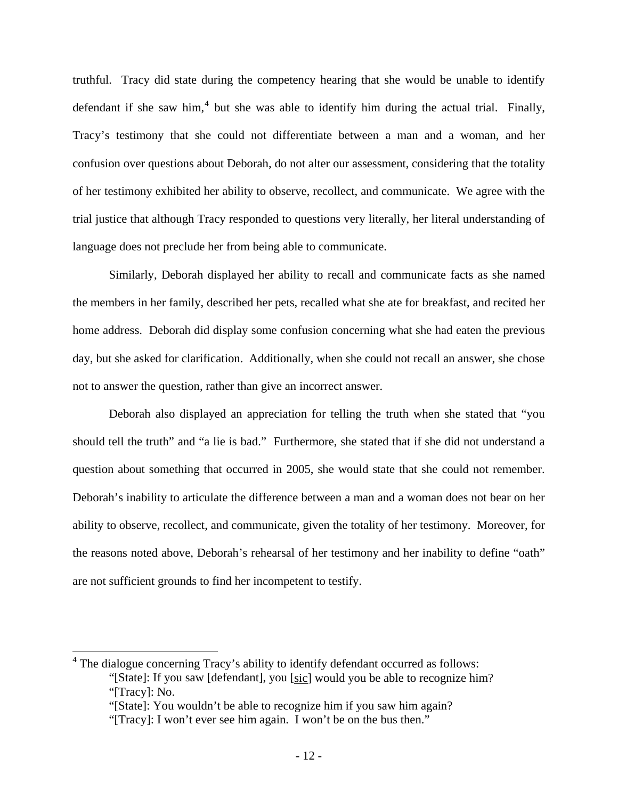truthful. Tracy did state during the competency hearing that she would be unable to identify defendant if she saw him,<sup>[4](#page-11-0)</sup> but she was able to identify him during the actual trial. Finally, Tracy's testimony that she could not differentiate between a man and a woman, and her confusion over questions about Deborah, do not alter our assessment, considering that the totality of her testimony exhibited her ability to observe, recollect, and communicate. We agree with the trial justice that although Tracy responded to questions very literally, her literal understanding of language does not preclude her from being able to communicate.

 Similarly, Deborah displayed her ability to recall and communicate facts as she named the members in her family, described her pets, recalled what she ate for breakfast, and recited her home address. Deborah did display some confusion concerning what she had eaten the previous day, but she asked for clarification.Additionally, when she could not recall an answer, she chose not to answer the question, rather than give an incorrect answer.

Deborah also displayed an appreciation for telling the truth when she stated that "you should tell the truth" and "a lie is bad." Furthermore, she stated that if she did not understand a question about something that occurred in 2005, she would state that she could not remember. Deborah's inability to articulate the difference between a man and a woman does not bear on her ability to observe, recollect, and communicate, given the totality of her testimony. Moreover, for the reasons noted above, Deborah's rehearsal of her testimony and her inability to define "oath" are not sufficient grounds to find her incompetent to testify.

<span id="page-11-0"></span> 4 The dialogue concerning Tracy's ability to identify defendant occurred as follows: "[State]: If you saw [defendant], you [sic] would you be able to recognize him? "[Tracy]: No.

 <sup>&</sup>quot;[State]: You wouldn't be able to recognize him if you saw him again?

 <sup>&</sup>quot;[Tracy]: I won't ever see him again. I won't be on the bus then."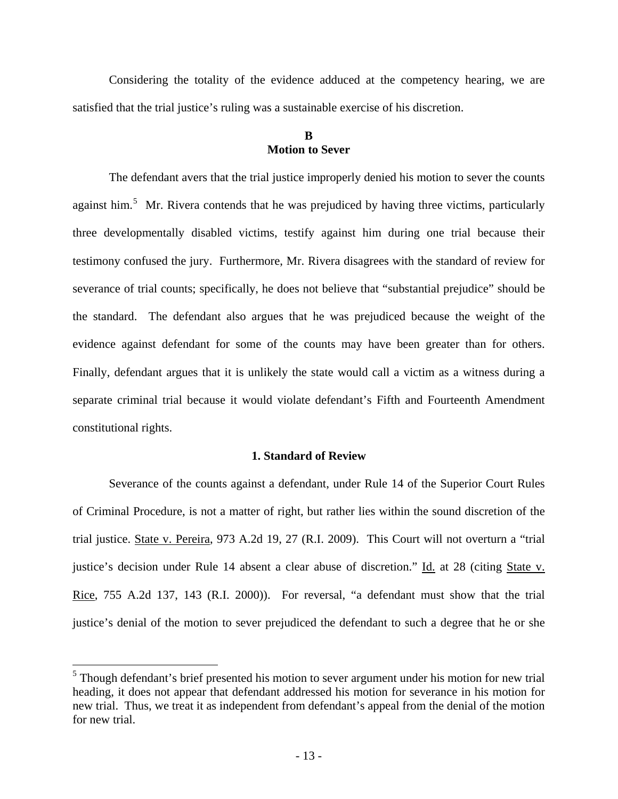Considering the totality of the evidence adduced at the competency hearing, we are satisfied that the trial justice's ruling was a sustainable exercise of his discretion.

## **B Motion to Sever**

The defendant avers that the trial justice improperly denied his motion to sever the counts against him.<sup>[5](#page-12-0)</sup> Mr. Rivera contends that he was prejudiced by having three victims, particularly three developmentally disabled victims, testify against him during one trial because their testimony confused the jury. Furthermore, Mr. Rivera disagrees with the standard of review for severance of trial counts; specifically, he does not believe that "substantial prejudice" should be the standard. The defendant also argues that he was prejudiced because the weight of the evidence against defendant for some of the counts may have been greater than for others. Finally, defendant argues that it is unlikely the state would call a victim as a witness during a separate criminal trial because it would violate defendant's Fifth and Fourteenth Amendment constitutional rights.

#### **1. Standard of Review**

Severance of the counts against a defendant, under Rule 14 of the Superior Court Rules of Criminal Procedure, is not a matter of right, but rather lies within the sound discretion of the trial justice. State v. Pereira, 973 A.2d 19, 27 (R.I. 2009). This Court will not overturn a "trial justice's decision under Rule 14 absent a clear abuse of discretion." Id. at 28 (citing State v. Rice, 755 A.2d 137, 143 (R.I. 2000)). For reversal, "a defendant must show that the trial justice's denial of the motion to sever prejudiced the defendant to such a degree that he or she

 $\overline{a}$ 

<span id="page-12-0"></span><sup>&</sup>lt;sup>5</sup> Though defendant's brief presented his motion to sever argument under his motion for new trial heading, it does not appear that defendant addressed his motion for severance in his motion for new trial. Thus, we treat it as independent from defendant's appeal from the denial of the motion for new trial.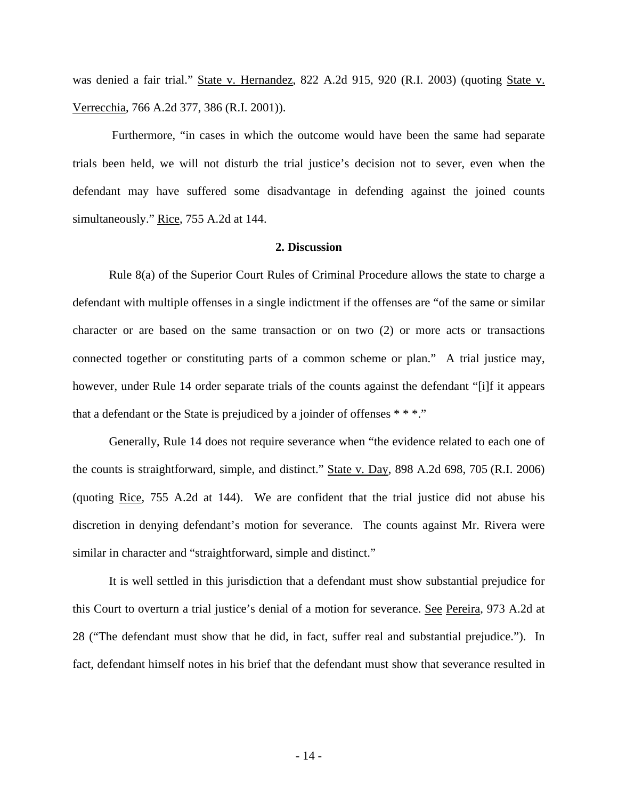was denied a fair trial." State v. Hernandez, 822 A.2d 915, 920 (R.I. 2003) (quoting State v. Verrecchia, 766 A.2d 377, 386 (R.I. 2001)).

 Furthermore, "in cases in which the outcome would have been the same had separate trials been held, we will not disturb the trial justice's decision not to sever, even when the defendant may have suffered some disadvantage in defending against the joined counts simultaneously." Rice, 755 A.2d at 144.

#### **2. Discussion**

Rule 8(a) of the Superior Court Rules of Criminal Procedure allows the state to charge a defendant with multiple offenses in a single indictment if the offenses are "of the same or similar character or are based on the same transaction or on two (2) or more acts or transactions connected together or constituting parts of a common scheme or plan." A trial justice may, however, under Rule 14 order separate trials of the counts against the defendant "[i]f it appears that a defendant or the State is prejudiced by a joinder of offenses \* \* \*."

Generally, Rule 14 does not require severance when "the evidence related to each one of the counts is straightforward, simple, and distinct." State v. Day, 898 A.2d 698, 705 (R.I. 2006) (quoting Rice, 755 A.2d at 144). We are confident that the trial justice did not abuse his discretion in denying defendant's motion for severance. The counts against Mr. Rivera were similar in character and "straightforward, simple and distinct."

It is well settled in this jurisdiction that a defendant must show substantial prejudice for this Court to overturn a trial justice's denial of a motion for severance. See Pereira, 973 A.2d at 28 ("The defendant must show that he did, in fact, suffer real and substantial prejudice."). In fact, defendant himself notes in his brief that the defendant must show that severance resulted in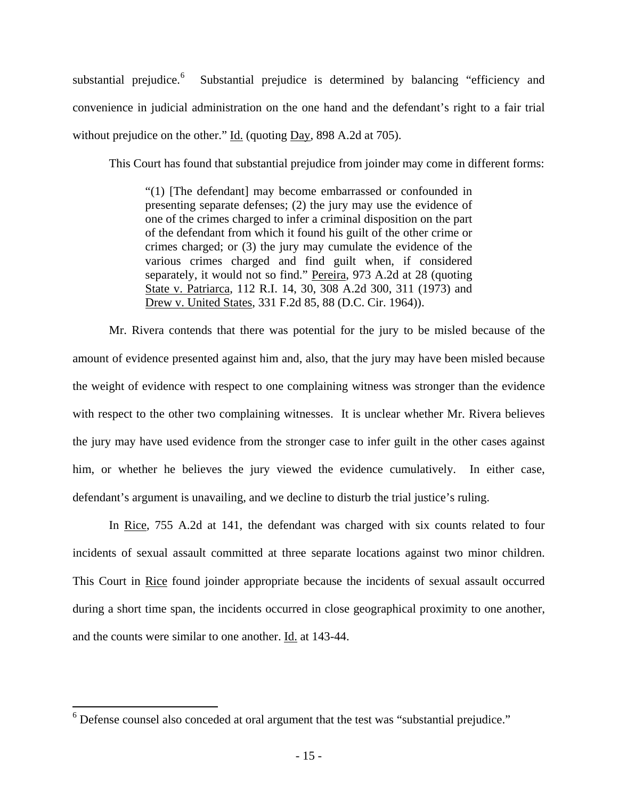substantial prejudice. $6$  Substantial prejudice is determined by balancing "efficiency and convenience in judicial administration on the one hand and the defendant's right to a fair trial without prejudice on the other." Id. (quoting Day, 898 A.2d at 705).

This Court has found that substantial prejudice from joinder may come in different forms:

"(1) [The defendant] may become embarrassed or confounded in presenting separate defenses; (2) the jury may use the evidence of one of the crimes charged to infer a criminal disposition on the part of the defendant from which it found his guilt of the other crime or crimes charged; or (3) the jury may cumulate the evidence of the various crimes charged and find guilt when, if considered separately, it would not so find." Pereira, 973 A.2d at 28 (quoting State v. Patriarca, 112 R.I. 14, 30, 308 A.2d 300, 311 (1973) and Drew v. United States, 331 F.2d 85, 88 (D.C. Cir. 1964)).

Mr. Rivera contends that there was potential for the jury to be misled because of the amount of evidence presented against him and, also, that the jury may have been misled because the weight of evidence with respect to one complaining witness was stronger than the evidence with respect to the other two complaining witnesses. It is unclear whether Mr. Rivera believes the jury may have used evidence from the stronger case to infer guilt in the other cases against him, or whether he believes the jury viewed the evidence cumulatively. In either case, defendant's argument is unavailing, and we decline to disturb the trial justice's ruling.

In Rice, 755 A.2d at 141, the defendant was charged with six counts related to four incidents of sexual assault committed at three separate locations against two minor children. This Court in Rice found joinder appropriate because the incidents of sexual assault occurred during a short time span, the incidents occurred in close geographical proximity to one another, and the counts were similar to one another. Id. at 143-44.

<span id="page-14-0"></span><sup>&</sup>lt;sup>6</sup> Defense counsel also conceded at oral argument that the test was "substantial prejudice."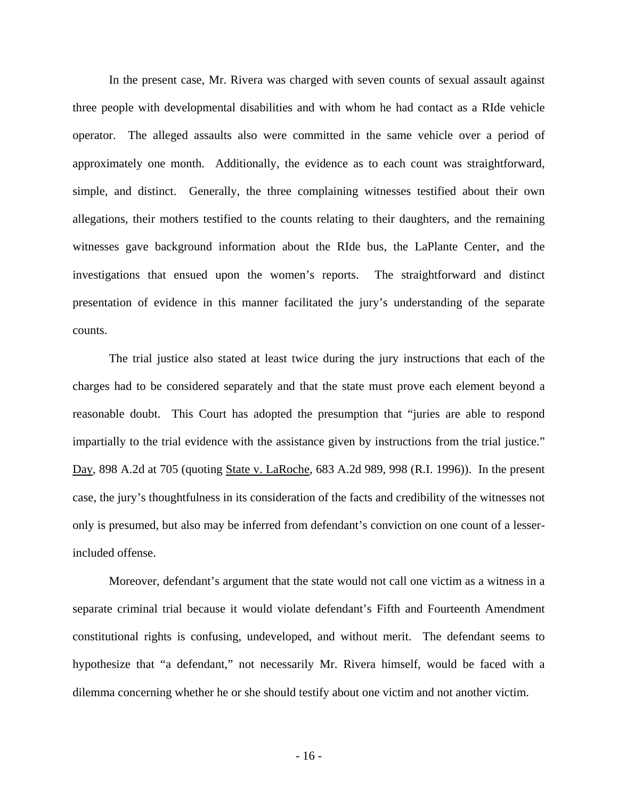In the present case, Mr. Rivera was charged with seven counts of sexual assault against three people with developmental disabilities and with whom he had contact as a RIde vehicle operator. The alleged assaults also were committed in the same vehicle over a period of approximately one month. Additionally, the evidence as to each count was straightforward, simple, and distinct. Generally, the three complaining witnesses testified about their own allegations, their mothers testified to the counts relating to their daughters, and the remaining witnesses gave background information about the RIde bus, the LaPlante Center, and the investigations that ensued upon the women's reports. The straightforward and distinct presentation of evidence in this manner facilitated the jury's understanding of the separate counts.

The trial justice also stated at least twice during the jury instructions that each of the charges had to be considered separately and that the state must prove each element beyond a reasonable doubt. This Court has adopted the presumption that "juries are able to respond impartially to the trial evidence with the assistance given by instructions from the trial justice." Day, 898 A.2d at 705 (quoting State v. LaRoche, 683 A.2d 989, 998 (R.I. 1996)). In the present case, the jury's thoughtfulness in its consideration of the facts and credibility of the witnesses not only is presumed, but also may be inferred from defendant's conviction on one count of a lesserincluded offense.

Moreover, defendant's argument that the state would not call one victim as a witness in a separate criminal trial because it would violate defendant's Fifth and Fourteenth Amendment constitutional rights is confusing, undeveloped, and without merit. The defendant seems to hypothesize that "a defendant," not necessarily Mr. Rivera himself, would be faced with a dilemma concerning whether he or she should testify about one victim and not another victim.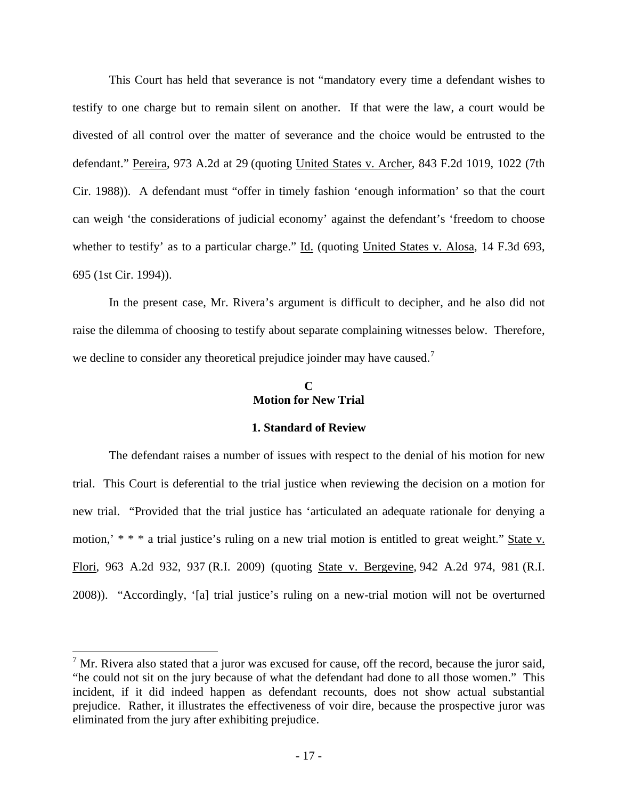This Court has held that severance is not "mandatory every time a defendant wishes to testify to one charge but to remain silent on another. If that were the law, a court would be divested of all control over the matter of severance and the choice would be entrusted to the defendant." Pereira, 973 A.2d at 29 (quoting United States v. Archer, 843 F.2d 1019, 1022 (7th Cir. 1988)). A defendant must "offer in timely fashion 'enough information' so that the court can weigh 'the considerations of judicial economy' against the defendant's 'freedom to choose whether to testify' as to a particular charge." Id. (quoting United States v. Alosa, 14 F.3d 693, 695 (1st Cir. 1994)).

In the present case, Mr. Rivera's argument is difficult to decipher, and he also did not raise the dilemma of choosing to testify about separate complaining witnesses below. Therefore, we decline to consider any theoretical prejudice joinder may have caused.<sup>[7](#page-16-0)</sup>

## **C Motion for New Trial**

## **1. Standard of Review**

The defendant raises a number of issues with respect to the denial of his motion for new trial. This Court is deferential to the trial justice when reviewing the decision on a motion for new trial. "Provided that the trial justice has 'articulated an adequate rationale for denying a motion,'  $**$  \* a trial justice's ruling on a new trial motion is entitled to great weight." State v. Flori, 963 A.2d 932, 937 (R.I. 2009) (quoting State v. Bergevine, 942 A.2d 974, 981 (R.I. 2008)). "Accordingly, '[a] trial justice's ruling on a new-trial motion will not be overturned

 $\overline{a}$ 

<span id="page-16-0"></span> $<sup>7</sup>$  Mr. Rivera also stated that a juror was excused for cause, off the record, because the juror said,</sup> "he could not sit on the jury because of what the defendant had done to all those women." This incident, if it did indeed happen as defendant recounts, does not show actual substantial prejudice. Rather, it illustrates the effectiveness of voir dire, because the prospective juror was eliminated from the jury after exhibiting prejudice.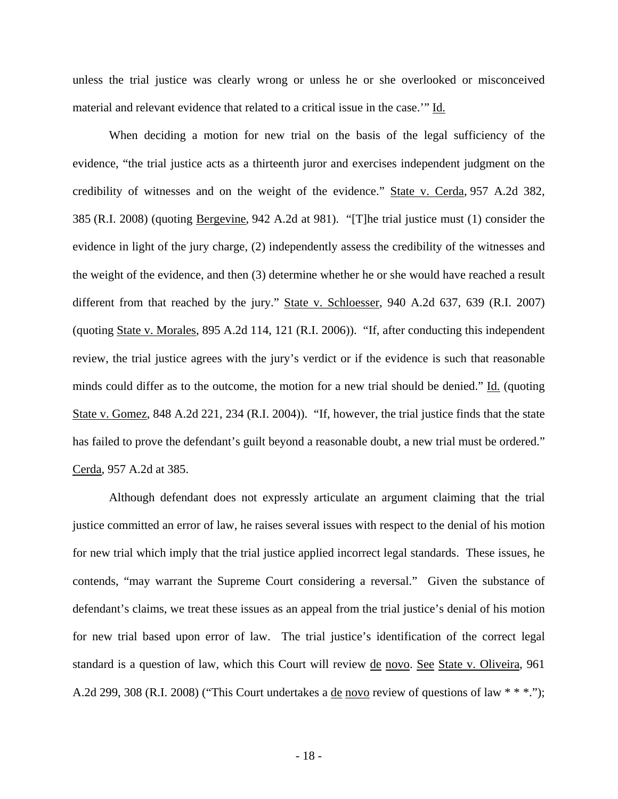unless the trial justice was clearly wrong or unless he or she overlooked or misconceived material and relevant evidence that related to a critical issue in the case.'" Id.

When deciding a motion for new trial on the basis of the legal sufficiency of the evidence, "the trial justice acts as a thirteenth juror and exercises independent judgment on the credibility of witnesses and on the weight of the evidence." State v. Cerda, 957 A.2d 382, 385 (R.I. 2008) (quoting Bergevine, 942 A.2d at 981). "[T]he trial justice must (1) consider the evidence in light of the jury charge, (2) independently assess the credibility of the witnesses and the weight of the evidence, and then (3) determine whether he or she would have reached a result different from that reached by the jury." State v. Schloesser, 940 A.2d 637, 639 (R.I. 2007) (quoting State v. Morales, 895 A.2d 114, 121 (R.I. 2006)). "If, after conducting this independent review, the trial justice agrees with the jury's verdict or if the evidence is such that reasonable minds could differ as to the outcome, the motion for a new trial should be denied." Id. (quoting State v. Gomez, 848 A.2d 221, 234 (R.I. 2004)). "If, however, the trial justice finds that the state has failed to prove the defendant's guilt beyond a reasonable doubt, a new trial must be ordered." Cerda, 957 A.2d at 385.

Although defendant does not expressly articulate an argument claiming that the trial justice committed an error of law, he raises several issues with respect to the denial of his motion for new trial which imply that the trial justice applied incorrect legal standards. These issues, he contends, "may warrant the Supreme Court considering a reversal." Given the substance of defendant's claims, we treat these issues as an appeal from the trial justice's denial of his motion for new trial based upon error of law. The trial justice's identification of the correct legal standard is a question of law, which this Court will review de novo. See State v. Oliveira, 961 A.2d 299, 308 (R.I. 2008) ("This Court undertakes a de novo review of questions of law \* \* \*.");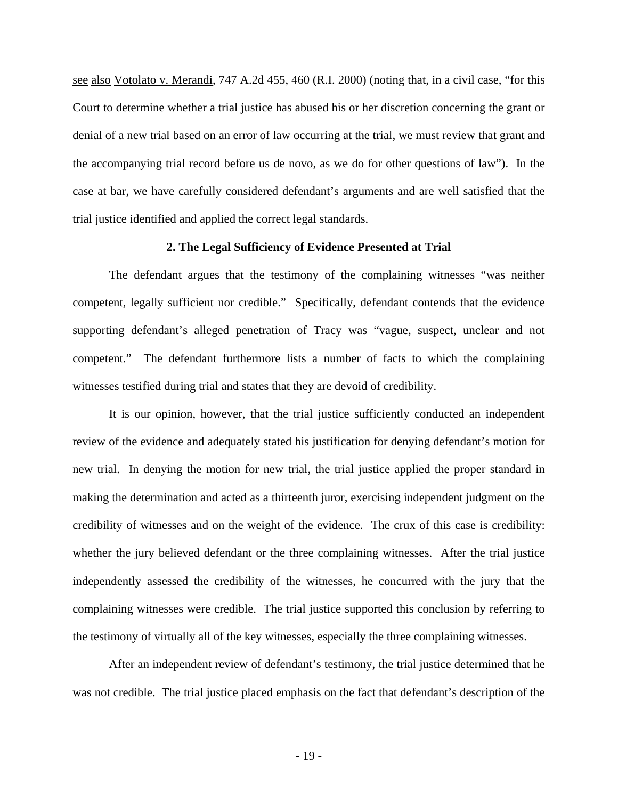see also Votolato v. Merandi, 747 A.2d 455, 460 (R.I. 2000) (noting that, in a civil case, "for this Court to determine whether a trial justice has abused his or her discretion concerning the grant or denial of a new trial based on an error of law occurring at the trial, we must review that grant and the accompanying trial record before us de novo, as we do for other questions of law"). In the case at bar, we have carefully considered defendant's arguments and are well satisfied that the trial justice identified and applied the correct legal standards.

#### **2. The Legal Sufficiency of Evidence Presented at Trial**

The defendant argues that the testimony of the complaining witnesses "was neither competent, legally sufficient nor credible." Specifically, defendant contends that the evidence supporting defendant's alleged penetration of Tracy was "vague, suspect, unclear and not competent." The defendant furthermore lists a number of facts to which the complaining witnesses testified during trial and states that they are devoid of credibility.

It is our opinion, however, that the trial justice sufficiently conducted an independent review of the evidence and adequately stated his justification for denying defendant's motion for new trial. In denying the motion for new trial, the trial justice applied the proper standard in making the determination and acted as a thirteenth juror, exercising independent judgment on the credibility of witnesses and on the weight of the evidence. The crux of this case is credibility: whether the jury believed defendant or the three complaining witnesses. After the trial justice independently assessed the credibility of the witnesses, he concurred with the jury that the complaining witnesses were credible.The trial justice supported this conclusion by referring to the testimony of virtually all of the key witnesses, especially the three complaining witnesses.

 After an independent review of defendant's testimony, the trial justice determined that he was not credible. The trial justice placed emphasis on the fact that defendant's description of the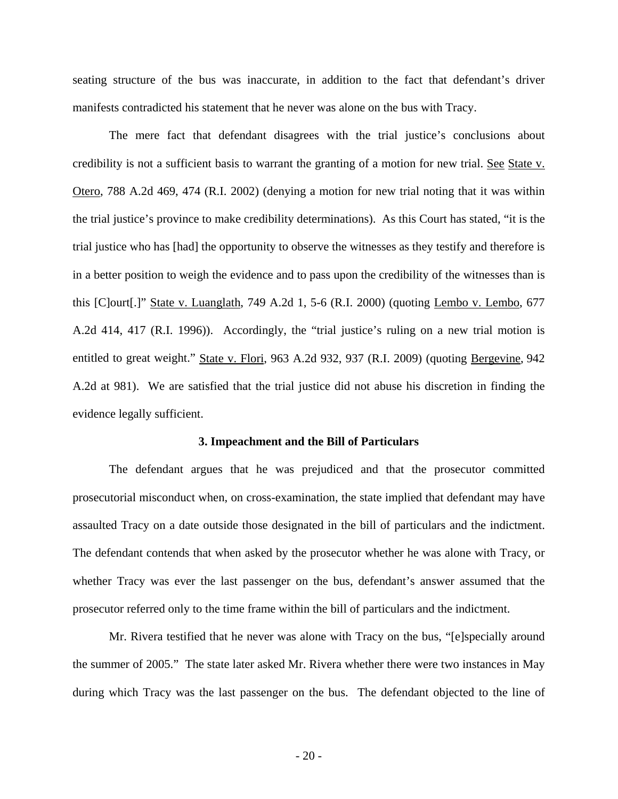seating structure of the bus was inaccurate, in addition to the fact that defendant's driver manifests contradicted his statement that he never was alone on the bus with Tracy.

 The mere fact that defendant disagrees with the trial justice's conclusions about credibility is not a sufficient basis to warrant the granting of a motion for new trial. See State v. Otero, 788 A.2d 469, 474 (R.I. 2002) (denying a motion for new trial noting that it was within the trial justice's province to make credibility determinations). As this Court has stated, "it is the trial justice who has [had] the opportunity to observe the witnesses as they testify and therefore is in a better position to weigh the evidence and to pass upon the credibility of the witnesses than is this [C]ourt[.]" State v. Luanglath, 749 A.2d 1, 5-6 (R.I. 2000) (quoting Lembo v. Lembo, 677 A.2d 414, 417 (R.I. 1996)). Accordingly, the "trial justice's ruling on a new trial motion is entitled to great weight." State v. Flori, 963 A.2d 932, 937 (R.I. 2009) (quoting Bergevine, 942 A.2d at 981). We are satisfied that the trial justice did not abuse his discretion in finding the evidence legally sufficient.

#### **3. Impeachment and the Bill of Particulars**

The defendant argues that he was prejudiced and that the prosecutor committed prosecutorial misconduct when, on cross-examination, the state implied that defendant may have assaulted Tracy on a date outside those designated in the bill of particulars and the indictment. The defendant contends that when asked by the prosecutor whether he was alone with Tracy, or whether Tracy was ever the last passenger on the bus, defendant's answer assumed that the prosecutor referred only to the time frame within the bill of particulars and the indictment.

Mr. Rivera testified that he never was alone with Tracy on the bus, "[e]specially around the summer of 2005."The state later asked Mr. Rivera whether there were two instances in May during which Tracy was the last passenger on the bus.The defendant objected to the line of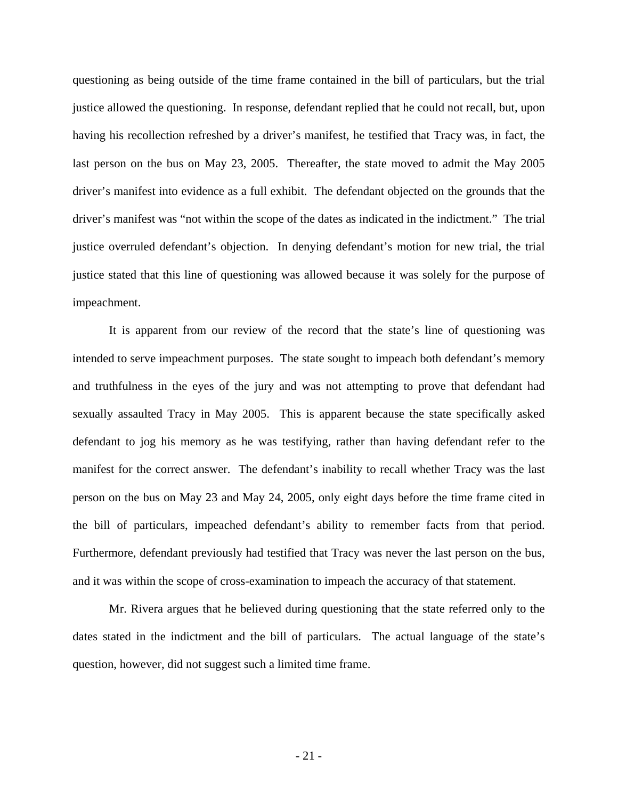questioning as being outside of the time frame contained in the bill of particulars, but the trial justice allowed the questioning.In response, defendant replied that he could not recall, but, upon having his recollection refreshed by a driver's manifest, he testified that Tracy was, in fact, the last person on the bus on May 23, 2005.Thereafter, the state moved to admit the May 2005 driver's manifest into evidence as a full exhibit. The defendant objected on the grounds that the driver's manifest was "not within the scope of the dates as indicated in the indictment." The trial justice overruled defendant's objection. In denying defendant's motion for new trial, the trial justice stated that this line of questioning was allowed because it was solely for the purpose of impeachment.

It is apparent from our review of the record that the state's line of questioning was intended to serve impeachment purposes. The state sought to impeach both defendant's memory and truthfulness in the eyes of the jury and was not attempting to prove that defendant had sexually assaulted Tracy in May 2005. This is apparent because the state specifically asked defendant to jog his memory as he was testifying, rather than having defendant refer to the manifest for the correct answer. The defendant's inability to recall whether Tracy was the last person on the bus on May 23 and May 24, 2005, only eight days before the time frame cited in the bill of particulars, impeached defendant's ability to remember facts from that period. Furthermore, defendant previously had testified that Tracy was never the last person on the bus, and it was within the scope of cross-examination to impeach the accuracy of that statement.

Mr. Rivera argues that he believed during questioning that the state referred only to the dates stated in the indictment and the bill of particulars. The actual language of the state's question, however, did not suggest such a limited time frame.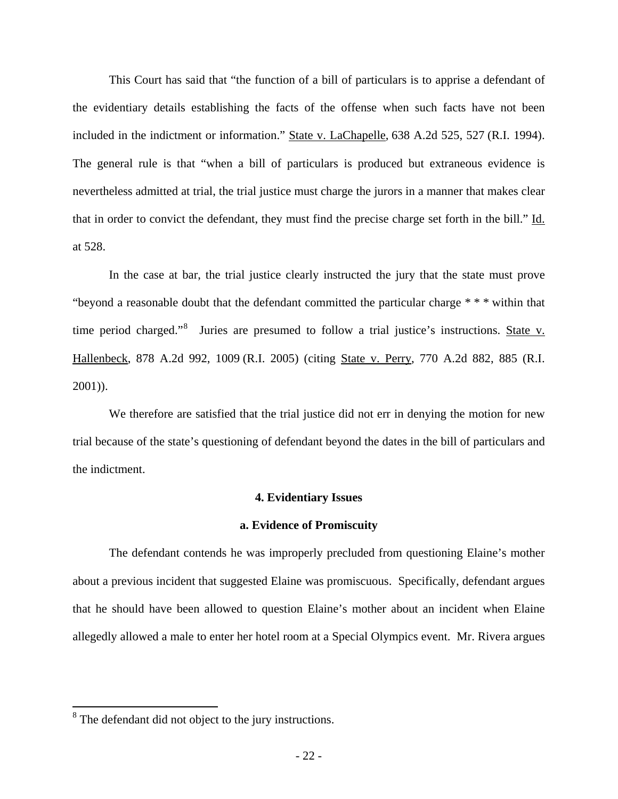This Court has said that "the function of a bill of particulars is to apprise a defendant of the evidentiary details establishing the facts of the offense when such facts have not been included in the indictment or information." State v. LaChapelle, 638 A.2d 525, 527 (R.I. 1994). The general rule is that "when a bill of particulars is produced but extraneous evidence is nevertheless admitted at trial, the trial justice must charge the jurors in a manner that makes clear that in order to convict the defendant, they must find the precise charge set forth in the bill." Id. at 528.

In the case at bar, the trial justice clearly instructed the jury that the state must prove "beyond a reasonable doubt that the defendant committed the particular charge \* \* \* within that time period charged."[8](#page-21-0) Juries are presumed to follow a trial justice's instructions. State v. Hallenbeck, 878 A.2d 992, 1009 (R.I. 2005) (citing State v. Perry, 770 A.2d 882, 885 (R.I. 2001)).

We therefore are satisfied that the trial justice did not err in denying the motion for new trial because of the state's questioning of defendant beyond the dates in the bill of particulars and the indictment.

#### **4. Evidentiary Issues**

#### **a. Evidence of Promiscuity**

The defendant contends he was improperly precluded from questioning Elaine's mother about a previous incident that suggested Elaine was promiscuous. Specifically, defendant argues that he should have been allowed to question Elaine's mother about an incident when Elaine allegedly allowed a male to enter her hotel room at a Special Olympics event. Mr. Rivera argues

<span id="page-21-0"></span><sup>&</sup>lt;sup>8</sup> The defendant did not object to the jury instructions.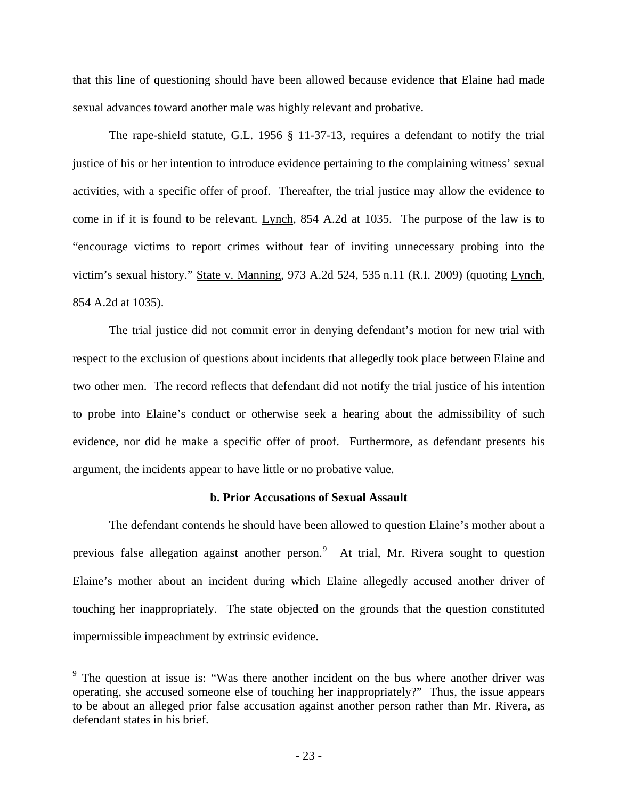that this line of questioning should have been allowed because evidence that Elaine had made sexual advances toward another male was highly relevant and probative.

The rape-shield statute, G.L. 1956 § 11-37-13, requires a defendant to notify the trial justice of his or her intention to introduce evidence pertaining to the complaining witness' sexual activities, with a specific offer of proof. Thereafter, the trial justice may allow the evidence to come in if it is found to be relevant. Lynch, 854 A.2d at 1035. The purpose of the law is to "encourage victims to report crimes without fear of inviting unnecessary probing into the victim's sexual history." State v. Manning, 973 A.2d 524, 535 n.11 (R.I. 2009) (quoting Lynch, 854 A.2d at 1035).

 The trial justice did not commit error in denying defendant's motion for new trial with respect to the exclusion of questions about incidents that allegedly took place between Elaine and two other men. The record reflects that defendant did not notify the trial justice of his intention to probe into Elaine's conduct or otherwise seek a hearing about the admissibility of such evidence, nor did he make a specific offer of proof. Furthermore, as defendant presents his argument, the incidents appear to have little or no probative value.

## **b. Prior Accusations of Sexual Assault**

The defendant contends he should have been allowed to question Elaine's mother about a previous false allegation against another person.<sup>[9](#page-22-0)</sup> At trial, Mr. Rivera sought to question Elaine's mother about an incident during which Elaine allegedly accused another driver of touching her inappropriately. The state objected on the grounds that the question constituted impermissible impeachment by extrinsic evidence.

 $\overline{a}$ 

<span id="page-22-0"></span><sup>&</sup>lt;sup>9</sup> The question at issue is: "Was there another incident on the bus where another driver was operating, she accused someone else of touching her inappropriately?" Thus, the issue appears to be about an alleged prior false accusation against another person rather than Mr. Rivera, as defendant states in his brief.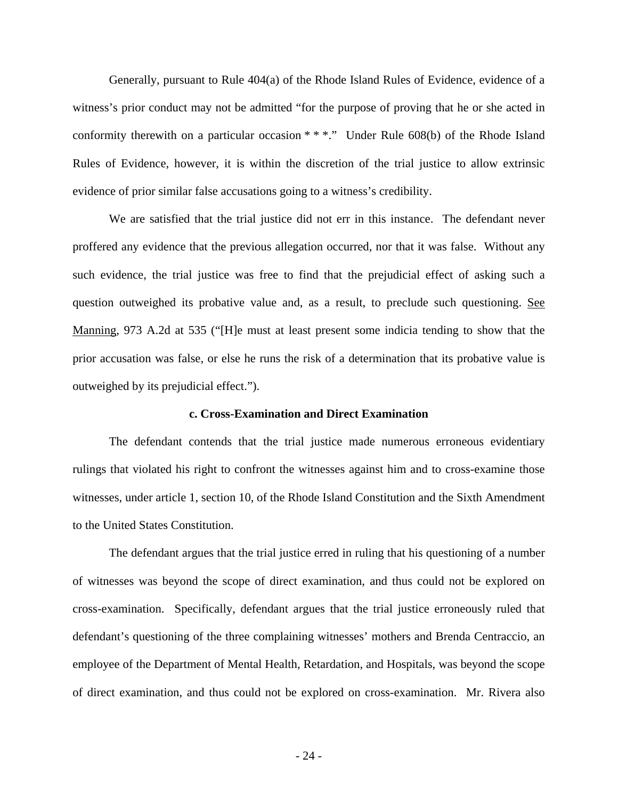Generally, pursuant to Rule 404(a) of the Rhode Island Rules of Evidence, evidence of a witness's prior conduct may not be admitted "for the purpose of proving that he or she acted in conformity therewith on a particular occasion \* \* \*." Under Rule 608(b) of the Rhode Island Rules of Evidence, however, it is within the discretion of the trial justice to allow extrinsic evidence of prior similar false accusations going to a witness's credibility.

We are satisfied that the trial justice did not err in this instance. The defendant never proffered any evidence that the previous allegation occurred, nor that it was false. Without any such evidence, the trial justice was free to find that the prejudicial effect of asking such a question outweighed its probative value and, as a result, to preclude such questioning. See Manning, 973 A.2d at 535 ("[H]e must at least present some indicia tending to show that the prior accusation was false, or else he runs the risk of a determination that its probative value is outweighed by its prejudicial effect.").

#### **c. Cross-Examination and Direct Examination**

The defendant contends that the trial justice made numerous erroneous evidentiary rulings that violated his right to confront the witnesses against him and to cross-examine those witnesses, under article 1, section 10, of the Rhode Island Constitution and the Sixth Amendment to the United States Constitution.

The defendant argues that the trial justice erred in ruling that his questioning of a number of witnesses was beyond the scope of direct examination, and thus could not be explored on cross-examination. Specifically, defendant argues that the trial justice erroneously ruled that defendant's questioning of the three complaining witnesses' mothers and Brenda Centraccio, an employee of the Department of Mental Health, Retardation, and Hospitals, was beyond the scope of direct examination, and thus could not be explored on cross-examination. Mr. Rivera also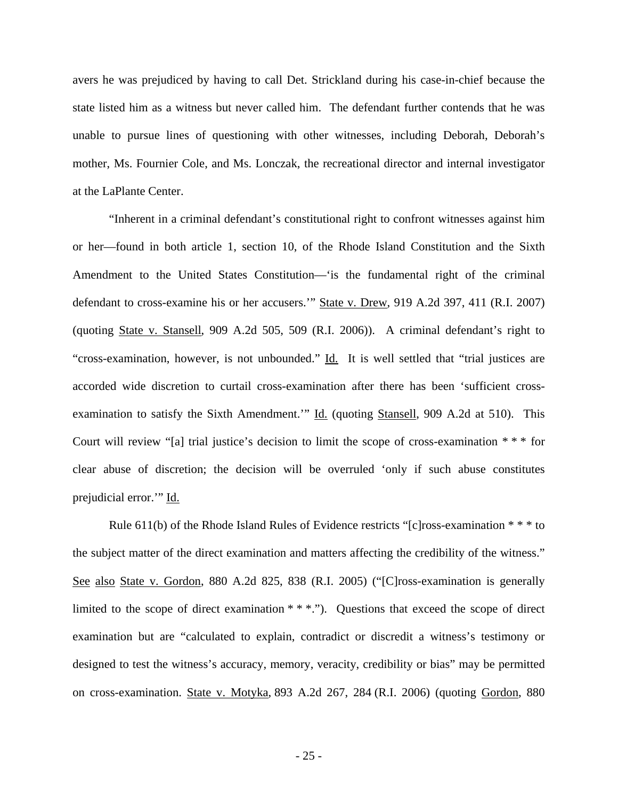avers he was prejudiced by having to call Det. Strickland during his case-in-chief because the state listed him as a witness but never called him.The defendant further contends that he was unable to pursue lines of questioning with other witnesses, including Deborah, Deborah's mother, Ms. Fournier Cole, and Ms. Lonczak, the recreational director and internal investigator at the LaPlante Center.

"Inherent in a criminal defendant's constitutional right to confront witnesses against him or her—found in both article 1, section 10, of the Rhode Island Constitution and the Sixth Amendment to the United States Constitution—'is the fundamental right of the criminal defendant to cross-examine his or her accusers.'" State v. Drew, 919 A.2d 397, 411 (R.I. 2007) (quoting State v. Stansell, 909 A.2d 505, 509 (R.I. 2006)). A criminal defendant's right to "cross-examination, however, is not unbounded." Id. It is well settled that "trial justices are accorded wide discretion to curtail cross-examination after there has been 'sufficient crossexamination to satisfy the Sixth Amendment.'" Id. (quoting Stansell, 909 A.2d at 510). This Court will review "[a] trial justice's decision to limit the scope of cross-examination \* \* \* for clear abuse of discretion; the decision will be overruled 'only if such abuse constitutes prejudicial error.'" Id.

Rule 611(b) of the Rhode Island Rules of Evidence restricts "[c]ross-examination \* \* \* to the subject matter of the direct examination and matters affecting the credibility of the witness." See also State v. Gordon, 880 A.2d 825, 838 (R.I. 2005) ("[C]ross-examination is generally limited to the scope of direct examination  $***$ ."). Questions that exceed the scope of direct examination but are "calculated to explain, contradict or discredit a witness's testimony or designed to test the witness's accuracy, memory, veracity, credibility or bias" may be permitted on cross-examination. State v. Motyka, 893 A.2d 267, 284 (R.I. 2006) (quoting Gordon, 880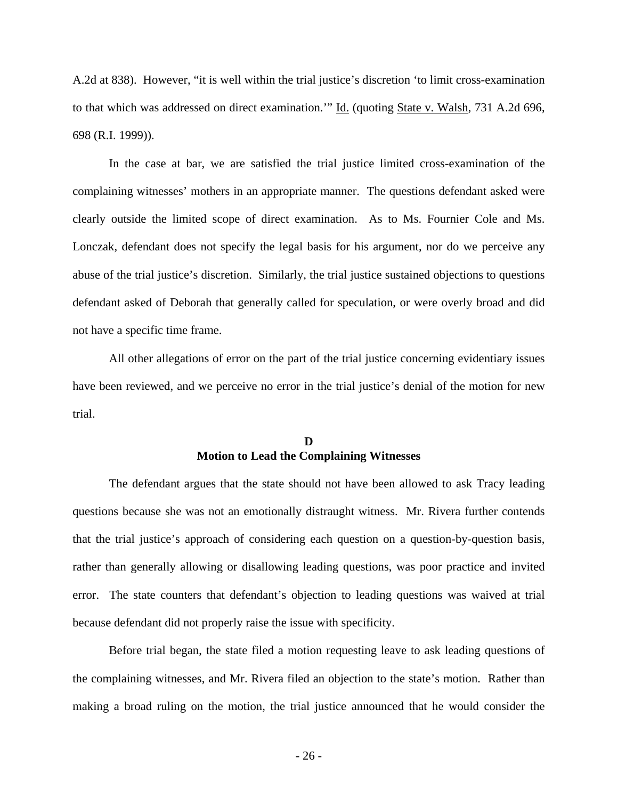A.2d at 838). However, "it is well within the trial justice's discretion 'to limit cross-examination to that which was addressed on direct examination." Id. (quoting State v. Walsh, 731 A.2d 696, 698 (R.I. 1999)).

In the case at bar, we are satisfied the trial justice limited cross-examination of the complaining witnesses' mothers in an appropriate manner. The questions defendant asked were clearly outside the limited scope of direct examination.As to Ms. Fournier Cole and Ms. Lonczak, defendant does not specify the legal basis for his argument, nor do we perceive any abuse of the trial justice's discretion. Similarly, the trial justice sustained objections to questions defendant asked of Deborah that generally called for speculation, or were overly broad and did not have a specific time frame.

All other allegations of error on the part of the trial justice concerning evidentiary issues have been reviewed, and we perceive no error in the trial justice's denial of the motion for new trial.

## **D Motion to Lead the Complaining Witnesses**

The defendant argues that the state should not have been allowed to ask Tracy leading questions because she was not an emotionally distraught witness. Mr. Rivera further contends that the trial justice's approach of considering each question on a question-by-question basis, rather than generally allowing or disallowing leading questions, was poor practice and invited error. The state counters that defendant's objection to leading questions was waived at trial because defendant did not properly raise the issue with specificity.

Before trial began, the state filed a motion requesting leave to ask leading questions of the complaining witnesses, and Mr. Rivera filed an objection to the state's motion.Rather than making a broad ruling on the motion, the trial justice announced that he would consider the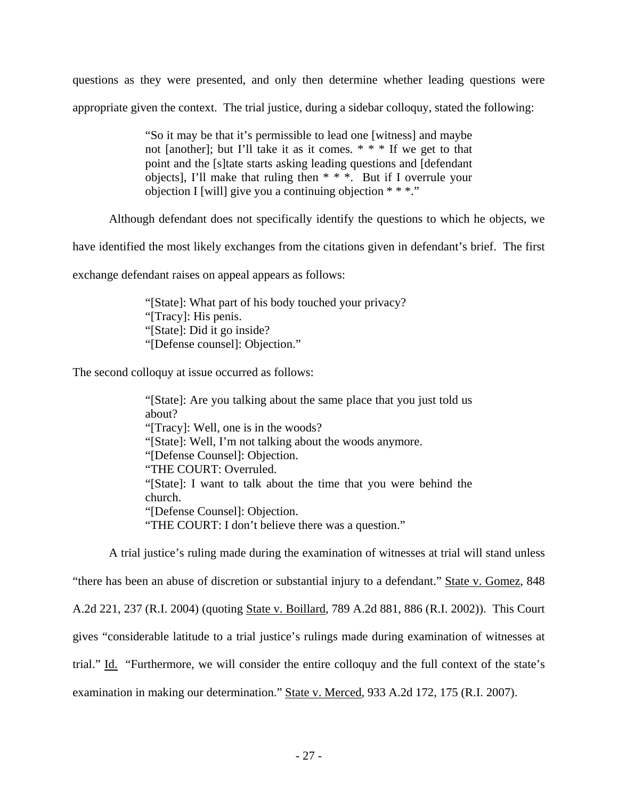questions as they were presented, and only then determine whether leading questions were appropriate given the context. The trial justice, during a sidebar colloquy, stated the following:

> "So it may be that it's permissible to lead one [witness] and maybe not [another]; but I'll take it as it comes. \* \* \* If we get to that point and the [s]tate starts asking leading questions and [defendant objects], I'll make that ruling then \* \* \*. But if I overrule your objection I [will] give you a continuing objection  $***$ ."

Although defendant does not specifically identify the questions to which he objects, we

have identified the most likely exchanges from the citations given in defendant's brief. The first

exchange defendant raises on appeal appears as follows:

"[State]: What part of his body touched your privacy? "[Tracy]: His penis. "[State]: Did it go inside? "[Defense counsel]: Objection."

The second colloquy at issue occurred as follows:

"[State]: Are you talking about the same place that you just told us about? "[Tracy]: Well, one is in the woods? "[State]: Well, I'm not talking about the woods anymore. "[Defense Counsel]: Objection. "THE COURT: Overruled. "[State]: I want to talk about the time that you were behind the church. "[Defense Counsel]: Objection. "THE COURT: I don't believe there was a question."

A trial justice's ruling made during the examination of witnesses at trial will stand unless

"there has been an abuse of discretion or substantial injury to a defendant." State v. Gomez, 848

A.2d 221, 237 (R.I. 2004) (quoting State v. Boillard, 789 A.2d 881, 886 (R.I. 2002)). This Court

gives "considerable latitude to a trial justice's rulings made during examination of witnesses at

trial." Id. "Furthermore, we will consider the entire colloquy and the full context of the state's

examination in making our determination." State v. Merced, 933 A.2d 172, 175 (R.I. 2007).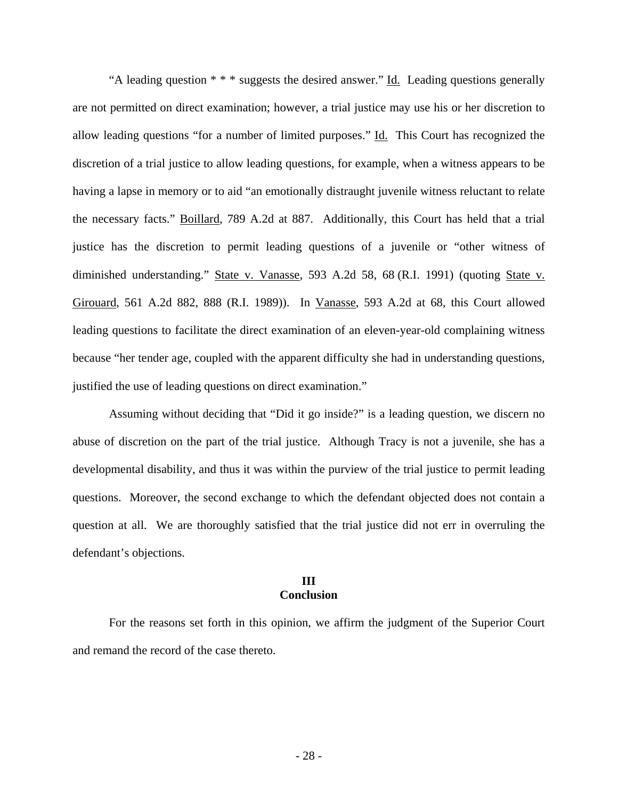"A leading question  $* * *$  suggests the desired answer." Id. Leading questions generally are not permitted on direct examination; however, a trial justice may use his or her discretion to allow leading questions "for a number of limited purposes." Id. This Court has recognized the discretion of a trial justice to allow leading questions, for example, when a witness appears to be having a lapse in memory or to aid "an emotionally distraught juvenile witness reluctant to relate the necessary facts." Boillard, 789 A.2d at 887. Additionally, this Court has held that a trial justice has the discretion to permit leading questions of a juvenile or "other witness of diminished understanding." State v. Vanasse, 593 A.2d 58, 68 (R.I. 1991) (quoting State v. Girouard, 561 A.2d 882, 888 (R.I. 1989)). In Vanasse, 593 A.2d at 68, this Court allowed leading questions to facilitate the direct examination of an eleven-year-old complaining witness because "her tender age, coupled with the apparent difficulty she had in understanding questions, justified the use of leading questions on direct examination."

Assuming without deciding that "Did it go inside?" is a leading question, we discern no abuse of discretion on the part of the trial justice. Although Tracy is not a juvenile, she has a developmental disability, and thus it was within the purview of the trial justice to permit leading questions. Moreover, the second exchange to which the defendant objected does not contain a question at all. We are thoroughly satisfied that the trial justice did not err in overruling the defendant's objections.

#### **III Conclusion**

For the reasons set forth in this opinion, we affirm the judgment of the Superior Court and remand the record of the case thereto.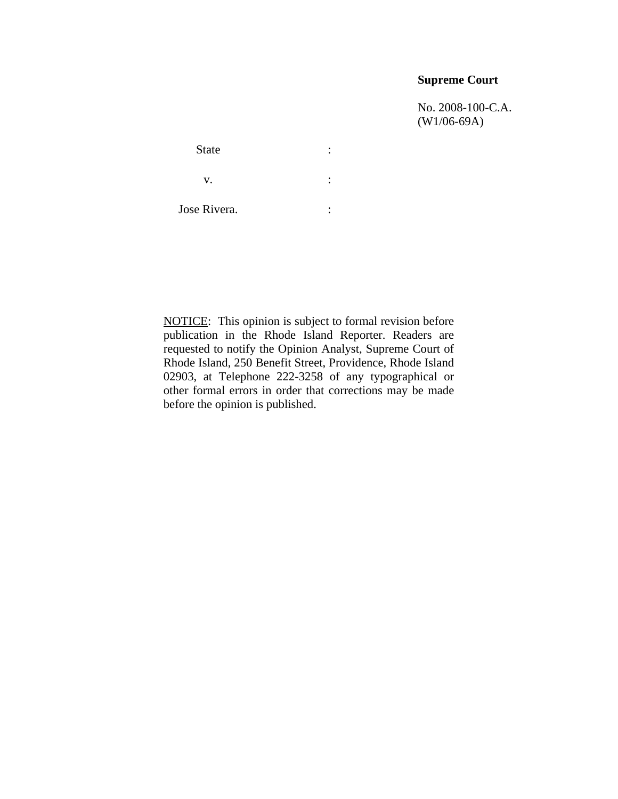## **Supreme Court**

 No. 2008-100-C.A. (W1/06-69A)

State : the state of the state  $\cdot$  $\mathbf{v}$ .  $\qquad \qquad$  : Jose Rivera. :

NOTICE: This opinion is subject to formal revision before publication in the Rhode Island Reporter. Readers are requested to notify the Opinion Analyst, Supreme Court of Rhode Island, 250 Benefit Street, Providence, Rhode Island 02903, at Telephone 222-3258 of any typographical or other formal errors in order that corrections may be made before the opinion is published.